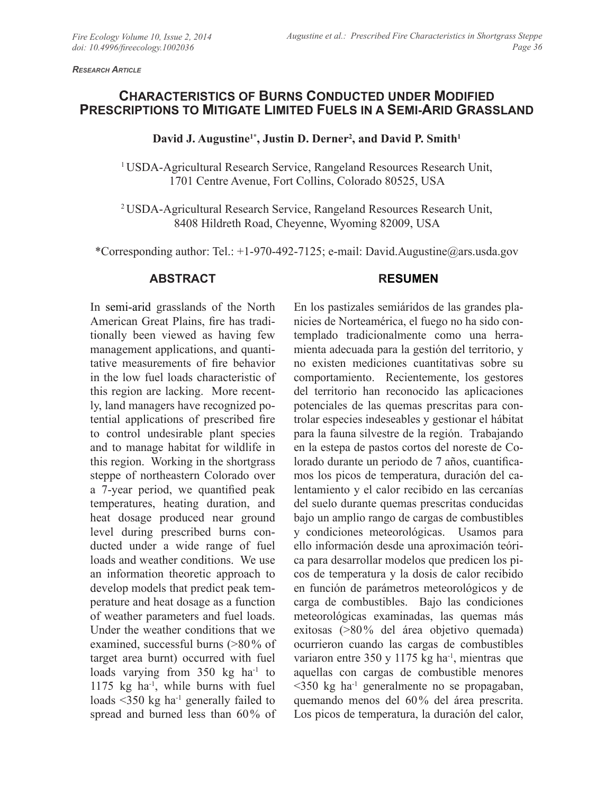*Research Article*

# **CHARACTERISTICS OF BURNS CONDUCTED UNDER MODIFIED PRESCRIPTIONS TO MITIGATE LIMITED FUELS IN A SEMI-ARID GRASSLAND**

## David J. Augustine<sup>1\*</sup>, Justin D. Derner<sup>2</sup>, and David P. Smith<sup>1</sup>

<sup>1</sup> USDA-Agricultural Research Service, Rangeland Resources Research Unit, 1701 Centre Avenue, Fort Collins, Colorado 80525, USA

2 USDA-Agricultural Research Service, Rangeland Resources Research Unit, 8408 Hildreth Road, Cheyenne, Wyoming 82009, USA

\*Corresponding author: Tel.: +1-970-492-7125; e-mail: David.Augustine@ars.usda.gov

### **ABSTRACT**

#### **RESUMEN**

In semi-arid grasslands of the North American Great Plains, fire has traditionally been viewed as having few management applications, and quantitative measurements of fire behavior in the low fuel loads characteristic of this region are lacking. More recently, land managers have recognized potential applications of prescribed fire to control undesirable plant species and to manage habitat for wildlife in this region. Working in the shortgrass steppe of northeastern Colorado over a 7-year period, we quantified peak temperatures, heating duration, and heat dosage produced near ground level during prescribed burns conducted under a wide range of fuel loads and weather conditions. We use an information theoretic approach to develop models that predict peak temperature and heat dosage as a function of weather parameters and fuel loads. Under the weather conditions that we examined, successful burns (>80% of target area burnt) occurred with fuel loads varying from 350 kg ha<sup>-1</sup> to 1175 kg ha<sup>-1</sup>, while burns with fuel loads  $\leq 350$  kg ha<sup>-1</sup> generally failed to spread and burned less than 60% of

En los pastizales semiáridos de las grandes planicies de Norteamérica, el fuego no ha sido contemplado tradicionalmente como una herramienta adecuada para la gestión del territorio, y no existen mediciones cuantitativas sobre su comportamiento. Recientemente, los gestores del territorio han reconocido las aplicaciones potenciales de las quemas prescritas para controlar especies indeseables y gestionar el hábitat para la fauna silvestre de la región. Trabajando en la estepa de pastos cortos del noreste de Colorado durante un periodo de 7 años, cuantificamos los picos de temperatura, duración del calentamiento y el calor recibido en las cercanías del suelo durante quemas prescritas conducidas bajo un amplio rango de cargas de combustibles y condiciones meteorológicas. Usamos para ello información desde una aproximación teórica para desarrollar modelos que predicen los picos de temperatura y la dosis de calor recibido en función de parámetros meteorológicos y de carga de combustibles. Bajo las condiciones meteorológicas examinadas, las quemas más exitosas (>80% del área objetivo quemada) ocurrieron cuando las cargas de combustibles variaron entre 350 y 1175 kg ha<sup>-1</sup>, mientras que aquellas con cargas de combustible menores  $\leq$ 350 kg ha<sup>-1</sup> generalmente no se propagaban, quemando menos del 60% del área prescrita. Los picos de temperatura, la duración del calor,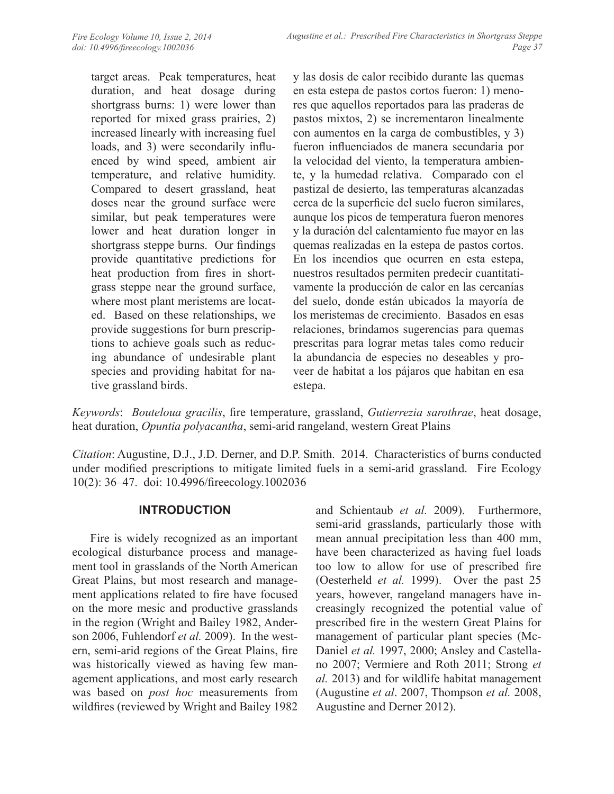target areas. Peak temperatures, heat duration, and heat dosage during shortgrass burns: 1) were lower than reported for mixed grass prairies, 2) increased linearly with increasing fuel loads, and 3) were secondarily influenced by wind speed, ambient air temperature, and relative humidity. Compared to desert grassland, heat doses near the ground surface were similar, but peak temperatures were lower and heat duration longer in shortgrass steppe burns. Our findings provide quantitative predictions for heat production from fires in shortgrass steppe near the ground surface, where most plant meristems are located. Based on these relationships, we provide suggestions for burn prescriptions to achieve goals such as reducing abundance of undesirable plant species and providing habitat for native grassland birds.

y las dosis de calor recibido durante las quemas en esta estepa de pastos cortos fueron: 1) menores que aquellos reportados para las praderas de pastos mixtos, 2) se incrementaron linealmente con aumentos en la carga de combustibles, y 3) fueron influenciados de manera secundaria por la velocidad del viento, la temperatura ambiente, y la humedad relativa. Comparado con el pastizal de desierto, las temperaturas alcanzadas cerca de la superficie del suelo fueron similares, aunque los picos de temperatura fueron menores y la duración del calentamiento fue mayor en las quemas realizadas en la estepa de pastos cortos. En los incendios que ocurren en esta estepa, nuestros resultados permiten predecir cuantitativamente la producción de calor en las cercanías del suelo, donde están ubicados la mayoría de los meristemas de crecimiento. Basados en esas relaciones, brindamos sugerencias para quemas prescritas para lograr metas tales como reducir la abundancia de especies no deseables y proveer de habitat a los pájaros que habitan en esa estepa.

*Keywords*: *Bouteloua gracilis*, fire temperature, grassland, *Gutierrezia sarothrae*, heat dosage, heat duration, *Opuntia polyacantha*, semi-arid rangeland, western Great Plains

*Citation*: Augustine, D.J., J.D. Derner, and D.P. Smith. 2014. Characteristics of burns conducted under modified prescriptions to mitigate limited fuels in a semi-arid grassland. Fire Ecology 10(2): 36–47. doi: 10.4996/fireecology.1002036

### **INTRODUCTION**

Fire is widely recognized as an important ecological disturbance process and management tool in grasslands of the North American Great Plains, but most research and management applications related to fire have focused on the more mesic and productive grasslands in the region (Wright and Bailey 1982, Anderson 2006, Fuhlendorf *et al.* 2009). In the western, semi-arid regions of the Great Plains, fire was historically viewed as having few management applications, and most early research was based on *post hoc* measurements from wildfires (reviewed by Wright and Bailey 1982

and Schientaub *et al.* 2009). Furthermore, semi-arid grasslands, particularly those with mean annual precipitation less than 400 mm, have been characterized as having fuel loads too low to allow for use of prescribed fire (Oesterheld *et al.* 1999). Over the past 25 years, however, rangeland managers have increasingly recognized the potential value of prescribed fire in the western Great Plains for management of particular plant species (Mc-Daniel *et al.* 1997, 2000; Ansley and Castellano 2007; Vermiere and Roth 2011; Strong *et al.* 2013) and for wildlife habitat management (Augustine *et al*. 2007, Thompson *et al.* 2008, Augustine and Derner 2012).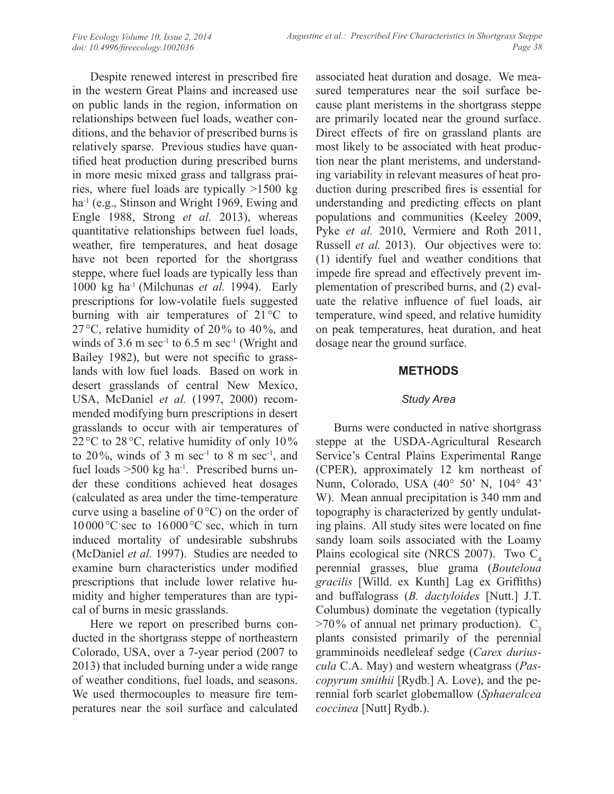Despite renewed interest in prescribed fire in the western Great Plains and increased use on public lands in the region, information on relationships between fuel loads, weather conditions, and the behavior of prescribed burns is relatively sparse. Previous studies have quantified heat production during prescribed burns in more mesic mixed grass and tallgrass prairies, where fuel loads are typically >1500 kg ha<sup>-1</sup> (e.g., Stinson and Wright 1969, Ewing and Engle 1988, Strong *et al.* 2013), whereas quantitative relationships between fuel loads, weather, fire temperatures, and heat dosage have not been reported for the shortgrass steppe, where fuel loads are typically less than 1000 kg ha-1 (Milchunas *et al.* 1994). Early prescriptions for low-volatile fuels suggested burning with air temperatures of 21°C to 27°C, relative humidity of 20% to 40%, and winds of 3.6 m sec<sup>-1</sup> to 6.5 m sec<sup>-1</sup> (Wright and Bailey 1982), but were not specific to grasslands with low fuel loads. Based on work in desert grasslands of central New Mexico, USA, McDaniel *et al.* (1997, 2000) recommended modifying burn prescriptions in desert grasslands to occur with air temperatures of 22 °C to 28 °C, relative humidity of only 10% to  $20\%$ , winds of 3 m sec<sup>-1</sup> to 8 m sec<sup>-1</sup>, and fuel loads  $>500$  kg ha<sup>-1</sup>. Prescribed burns under these conditions achieved heat dosages (calculated as area under the time-temperature curve using a baseline of  $0^{\circ}$ C) on the order of 10000 °C sec to 16000 °C sec, which in turn induced mortality of undesirable subshrubs (McDaniel *et al.* 1997). Studies are needed to examine burn characteristics under modified prescriptions that include lower relative humidity and higher temperatures than are typical of burns in mesic grasslands.

Here we report on prescribed burns conducted in the shortgrass steppe of northeastern Colorado, USA, over a 7-year period (2007 to 2013) that included burning under a wide range of weather conditions, fuel loads, and seasons. We used thermocouples to measure fire temperatures near the soil surface and calculated

associated heat duration and dosage. We measured temperatures near the soil surface because plant meristems in the shortgrass steppe are primarily located near the ground surface. Direct effects of fire on grassland plants are most likely to be associated with heat production near the plant meristems, and understanding variability in relevant measures of heat production during prescribed fires is essential for understanding and predicting effects on plant populations and communities (Keeley 2009, Pyke *et al.* 2010, Vermiere and Roth 2011, Russell *et al.* 2013). Our objectives were to: (1) identify fuel and weather conditions that impede fire spread and effectively prevent implementation of prescribed burns, and (2) evaluate the relative influence of fuel loads, air temperature, wind speed, and relative humidity on peak temperatures, heat duration, and heat dosage near the ground surface.

## **METHODS**

### *Study Area*

Burns were conducted in native shortgrass steppe at the USDA-Agricultural Research Service's Central Plains Experimental Range (CPER), approximately 12 km northeast of Nunn, Colorado, USA (40° 50' N, 104° 43' W). Mean annual precipitation is 340 mm and topography is characterized by gently undulating plains. All study sites were located on fine sandy loam soils associated with the Loamy Plains ecological site (NRCS 2007). Two  $C_4$ perennial grasses, blue grama (*Bouteloua gracilis* [Willd. ex Kunth] Lag ex Griffiths) and buffalograss (*B. dactyloides* [Nutt.] J.T. Columbus) dominate the vegetation (typically  $>70\%$  of annual net primary production). C<sub>2</sub> plants consisted primarily of the perennial gramminoids needleleaf sedge (*Carex duriuscula* C.A. May) and western wheatgrass (*Pascopyrum smithii* [Rydb.] A. Love), and the perennial forb scarlet globemallow (*Sphaeralcea coccinea* [Nutt] Rydb.).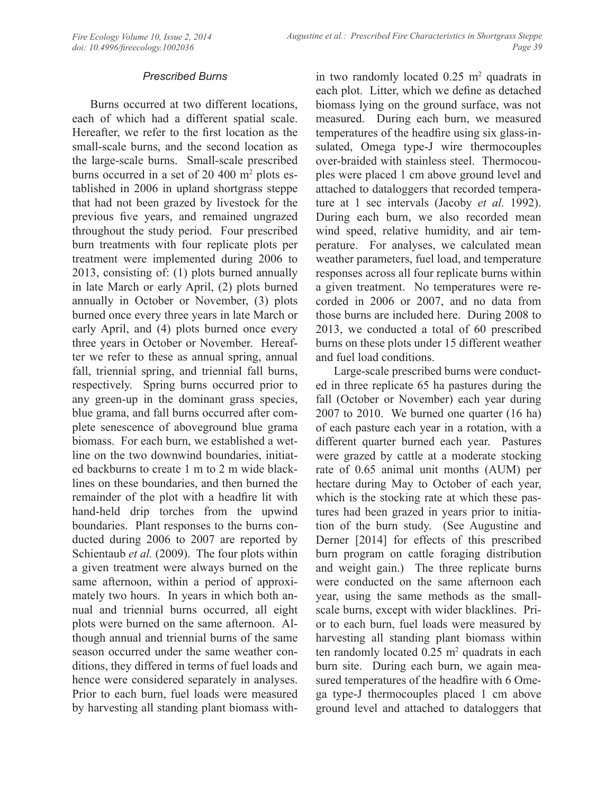## *Prescribed Burns*

Burns occurred at two different locations, each of which had a different spatial scale. Hereafter, we refer to the first location as the small-scale burns, and the second location as the large-scale burns. Small-scale prescribed burns occurred in a set of 20 400 m<sup>2</sup> plots established in 2006 in upland shortgrass steppe that had not been grazed by livestock for the previous five years, and remained ungrazed throughout the study period. Four prescribed burn treatments with four replicate plots per treatment were implemented during 2006 to 2013, consisting of: (1) plots burned annually in late March or early April, (2) plots burned annually in October or November, (3) plots burned once every three years in late March or early April, and (4) plots burned once every three years in October or November. Hereafter we refer to these as annual spring, annual fall, triennial spring, and triennial fall burns, respectively. Spring burns occurred prior to any green-up in the dominant grass species, blue grama, and fall burns occurred after complete senescence of aboveground blue grama biomass. For each burn, we established a wetline on the two downwind boundaries, initiated backburns to create 1 m to 2 m wide blacklines on these boundaries, and then burned the remainder of the plot with a headfire lit with hand-held drip torches from the upwind boundaries. Plant responses to the burns conducted during 2006 to 2007 are reported by Schientaub *et al.* (2009). The four plots within a given treatment were always burned on the same afternoon, within a period of approximately two hours. In years in which both annual and triennial burns occurred, all eight plots were burned on the same afternoon. Although annual and triennial burns of the same season occurred under the same weather conditions, they differed in terms of fuel loads and hence were considered separately in analyses. Prior to each burn, fuel loads were measured by harvesting all standing plant biomass with-

in two randomly located  $0.25 \text{ m}^2$  quadrats in each plot. Litter, which we define as detached biomass lying on the ground surface, was not measured. During each burn, we measured temperatures of the headfire using six glass-insulated, Omega type-J wire thermocouples over-braided with stainless steel. Thermocouples were placed 1 cm above ground level and attached to dataloggers that recorded temperature at 1 sec intervals (Jacoby *et al.* 1992). During each burn, we also recorded mean wind speed, relative humidity, and air temperature. For analyses, we calculated mean weather parameters, fuel load, and temperature responses across all four replicate burns within a given treatment. No temperatures were recorded in 2006 or 2007, and no data from those burns are included here. During 2008 to 2013, we conducted a total of 60 prescribed burns on these plots under 15 different weather and fuel load conditions.

Large-scale prescribed burns were conducted in three replicate 65 ha pastures during the fall (October or November) each year during 2007 to 2010. We burned one quarter (16 ha) of each pasture each year in a rotation, with a different quarter burned each year. Pastures were grazed by cattle at a moderate stocking rate of 0.65 animal unit months (AUM) per hectare during May to October of each year, which is the stocking rate at which these pastures had been grazed in years prior to initiation of the burn study. (See Augustine and Derner [2014] for effects of this prescribed burn program on cattle foraging distribution and weight gain.) The three replicate burns were conducted on the same afternoon each year, using the same methods as the smallscale burns, except with wider blacklines. Prior to each burn, fuel loads were measured by harvesting all standing plant biomass within ten randomly located  $0.25 \text{ m}^2$  quadrats in each burn site. During each burn, we again measured temperatures of the headfire with 6 Omega type-J thermocouples placed 1 cm above ground level and attached to dataloggers that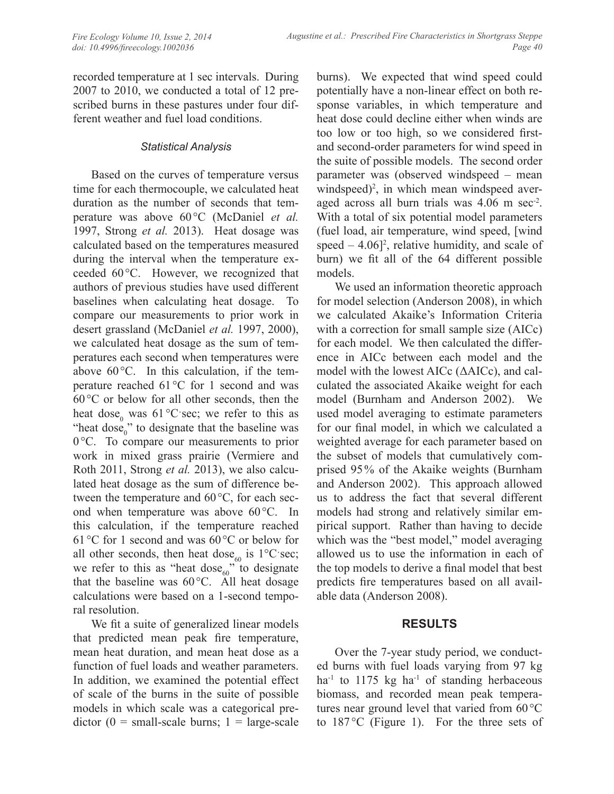recorded temperature at 1 sec intervals. During 2007 to 2010, we conducted a total of 12 prescribed burns in these pastures under four different weather and fuel load conditions.

### *Statistical Analysis*

Based on the curves of temperature versus time for each thermocouple, we calculated heat duration as the number of seconds that temperature was above 60°C (McDaniel *et al.* 1997, Strong *et al.* 2013). Heat dosage was calculated based on the temperatures measured during the interval when the temperature exceeded 60°C. However, we recognized that authors of previous studies have used different baselines when calculating heat dosage. To compare our measurements to prior work in desert grassland (McDaniel *et al.* 1997, 2000), we calculated heat dosage as the sum of temperatures each second when temperatures were above  $60^{\circ}$ C. In this calculation, if the temperature reached 61°C for 1 second and was  $60^{\circ}$ C or below for all other seconds, then the heat dose<sub>0</sub> was  $61^{\circ}$ C $\cdot$ sec; we refer to this as "heat dose $_{0}$ " to designate that the baseline was 0 °C. To compare our measurements to prior work in mixed grass prairie (Vermiere and Roth 2011, Strong *et al.* 2013), we also calculated heat dosage as the sum of difference between the temperature and 60°C, for each second when temperature was above 60°C. In this calculation, if the temperature reached 61 °C for 1 second and was 60°C or below for all other seconds, then heat dose<sub>60</sub> is  $1^{\circ}$ C $\cdot$ sec; we refer to this as "heat dose $_{60}$ " to designate that the baseline was 60°C. All heat dosage calculations were based on a 1-second temporal resolution.

We fit a suite of generalized linear models that predicted mean peak fire temperature, mean heat duration, and mean heat dose as a function of fuel loads and weather parameters. In addition, we examined the potential effect of scale of the burns in the suite of possible models in which scale was a categorical predictor  $(0 = small-scale burns; 1 = large-scale)$  burns). We expected that wind speed could potentially have a non-linear effect on both response variables, in which temperature and heat dose could decline either when winds are too low or too high, so we considered firstand second-order parameters for wind speed in the suite of possible models. The second order parameter was (observed windspeed – mean windspeed)<sup>2</sup>, in which mean windspeed averaged across all burn trials was 4.06 m sec<sup>-2</sup>. With a total of six potential model parameters (fuel load, air temperature, wind speed, [wind speed  $-4.06$ <sup>2</sup>, relative humidity, and scale of burn) we fit all of the 64 different possible models.

We used an information theoretic approach for model selection (Anderson 2008), in which we calculated Akaike's Information Criteria with a correction for small sample size (AICc) for each model. We then calculated the difference in AICc between each model and the model with the lowest AICc (ΔAICc), and calculated the associated Akaike weight for each model (Burnham and Anderson 2002). We used model averaging to estimate parameters for our final model, in which we calculated a weighted average for each parameter based on the subset of models that cumulatively comprised 95% of the Akaike weights (Burnham and Anderson 2002). This approach allowed us to address the fact that several different models had strong and relatively similar empirical support. Rather than having to decide which was the "best model," model averaging allowed us to use the information in each of the top models to derive a final model that best predicts fire temperatures based on all available data (Anderson 2008).

## **RESULTS**

Over the 7-year study period, we conducted burns with fuel loads varying from 97 kg ha<sup>-1</sup> to 1175 kg ha<sup>-1</sup> of standing herbaceous biomass, and recorded mean peak temperatures near ground level that varied from 60°C to 187 °C (Figure 1). For the three sets of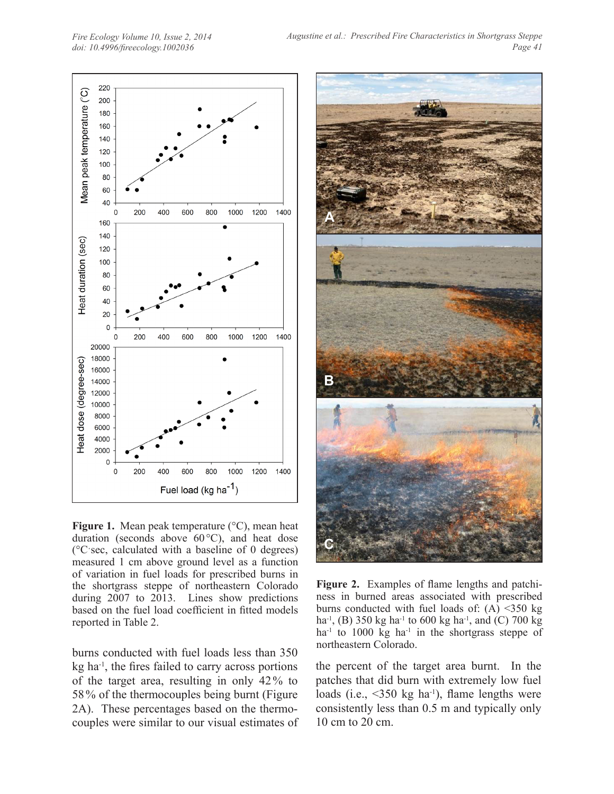*Fire Ecology Volume 10, Issue 2, 2014 doi: 10.4996/fireecology.1002036*



**Figure 1.** Mean peak temperature (°C), mean heat duration (seconds above 60°C), and heat dose (°Cˑsec, calculated with a baseline of 0 degrees) measured 1 cm above ground level as a function of variation in fuel loads for prescribed burns in the shortgrass steppe of northeastern Colorado during 2007 to 2013. Lines show predictions based on the fuel load coefficient in fitted models reported in Table 2.

burns conducted with fuel loads less than 350 kg ha-1, the fires failed to carry across portions of the target area, resulting in only 42% to 58% of the thermocouples being burnt (Figure 2A). These percentages based on the thermocouples were similar to our visual estimates of



**Figure 2.** Examples of flame lengths and patchiness in burned areas associated with prescribed burns conducted with fuel loads of:  $(A)$  <350 kg ha<sup>-1</sup>, (B) 350 kg ha<sup>-1</sup> to 600 kg ha<sup>-1</sup>, and (C) 700 kg ha<sup>-1</sup> to 1000 kg ha<sup>-1</sup> in the shortgrass steppe of northeastern Colorado.

the percent of the target area burnt. In the patches that did burn with extremely low fuel loads (i.e.,  $\leq 350$  kg ha<sup>-1</sup>), flame lengths were consistently less than 0.5 m and typically only 10 cm to 20 cm.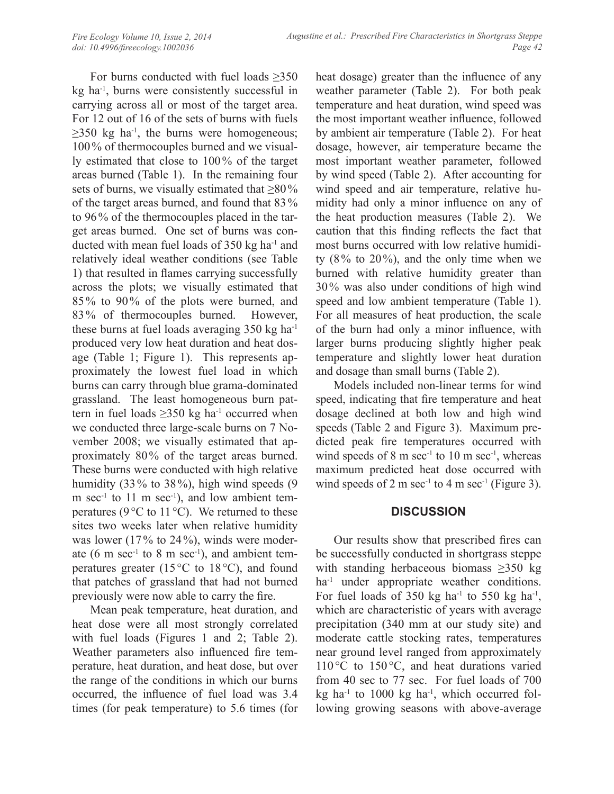For burns conducted with fuel loads  $\geq 350$ kg ha-1, burns were consistently successful in carrying across all or most of the target area. For 12 out of 16 of the sets of burns with fuels  $\geq$ 350 kg ha<sup>-1</sup>, the burns were homogeneous; 100% of thermocouples burned and we visually estimated that close to 100% of the target areas burned (Table 1). In the remaining four sets of burns, we visually estimated that  $\geq 80\%$ of the target areas burned, and found that 83% to 96% of the thermocouples placed in the target areas burned. One set of burns was conducted with mean fuel loads of 350 kg ha-1 and relatively ideal weather conditions (see Table 1) that resulted in flames carrying successfully across the plots; we visually estimated that 85% to 90% of the plots were burned, and 83% of thermocouples burned. However, these burns at fuel loads averaging 350 kg ha-1 produced very low heat duration and heat dosage (Table 1; Figure 1). This represents approximately the lowest fuel load in which burns can carry through blue grama-dominated grassland. The least homogeneous burn pattern in fuel loads  $\geq$ 350 kg ha<sup>-1</sup> occurred when we conducted three large-scale burns on 7 November 2008; we visually estimated that approximately 80% of the target areas burned. These burns were conducted with high relative humidity (33% to 38%), high wind speeds (9) m sec<sup>-1</sup> to 11 m sec<sup>-1</sup>), and low ambient temperatures (9 $\degree$ C to 11 $\degree$ C). We returned to these sites two weeks later when relative humidity was lower (17% to 24%), winds were moderate (6 m sec<sup>-1</sup> to 8 m sec<sup>-1</sup>), and ambient temperatures greater (15 $\degree$ C to 18 $\degree$ C), and found that patches of grassland that had not burned previously were now able to carry the fire.

Mean peak temperature, heat duration, and heat dose were all most strongly correlated with fuel loads (Figures 1 and 2; Table 2). Weather parameters also influenced fire temperature, heat duration, and heat dose, but over the range of the conditions in which our burns occurred, the influence of fuel load was 3.4 times (for peak temperature) to 5.6 times (for

heat dosage) greater than the influence of any weather parameter (Table 2). For both peak temperature and heat duration, wind speed was the most important weather influence, followed by ambient air temperature (Table 2). For heat dosage, however, air temperature became the most important weather parameter, followed by wind speed (Table 2). After accounting for wind speed and air temperature, relative humidity had only a minor influence on any of the heat production measures (Table 2). We caution that this finding reflects the fact that most burns occurred with low relative humidity  $(8\%$  to  $20\%)$ , and the only time when we burned with relative humidity greater than 30% was also under conditions of high wind speed and low ambient temperature (Table 1). For all measures of heat production, the scale of the burn had only a minor influence, with larger burns producing slightly higher peak temperature and slightly lower heat duration and dosage than small burns (Table 2).

Models included non-linear terms for wind speed, indicating that fire temperature and heat dosage declined at both low and high wind speeds (Table 2 and Figure 3). Maximum predicted peak fire temperatures occurred with wind speeds of  $8 \text{ m sec}^{-1}$  to  $10 \text{ m sec}^{-1}$ , whereas maximum predicted heat dose occurred with wind speeds of 2 m sec<sup>-1</sup> to 4 m sec<sup>-1</sup> (Figure 3).

## **DISCUSSION**

Our results show that prescribed fires can be successfully conducted in shortgrass steppe with standing herbaceous biomass  $\geq 350$  kg ha<sup>-1</sup> under appropriate weather conditions. For fuel loads of 350 kg ha<sup>-1</sup> to 550 kg ha<sup>-1</sup>, which are characteristic of years with average precipitation (340 mm at our study site) and moderate cattle stocking rates, temperatures near ground level ranged from approximately 110 °C to 150 °C, and heat durations varied from 40 sec to 77 sec. For fuel loads of 700 kg ha<sup>-1</sup> to 1000 kg ha<sup>-1</sup>, which occurred following growing seasons with above-average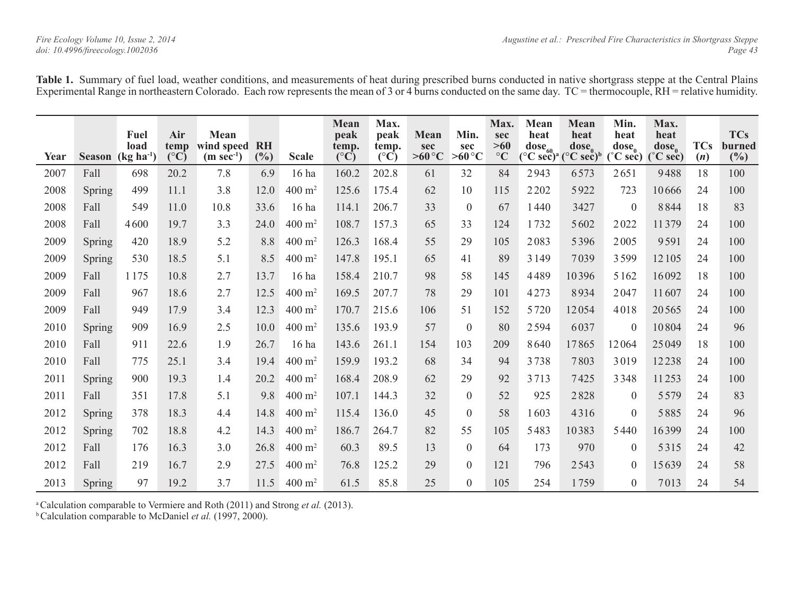**Table 1.** Summary of fuel load, weather conditions, and measurements of heat during prescribed burns conducted in native shortgrass steppe at the Central Plains Experimental Range in northeastern Colorado. Each row represents the mean of 3 or 4 burns conducted on the same day. TC = thermocouple, RH = relative humidity.

| Year | <b>Season</b> | Fuel<br>load<br>$\left[\frac{\text{kg} \ln^{-1}}{\text{kg} \ln \text{m}^2}\right]$ | Air<br>temp<br>$(^{\circ}C)$ | Mean<br>wind speed<br>$(m \text{ sec}^{-1})$ | <b>RH</b><br>(%) | <b>Scale</b>          | <b>Mean</b><br>peak<br>temp.<br>$({}^{\circ}\bar{C})$ | Max.<br>peak<br>temp.<br>$({}^{\circ}\bar{C})$ | Mean<br>sec<br>$>60^{\circ}C$ | Min.<br>sec<br>$>60^{\circ}C$ | Max.<br>sec<br>$>60$<br>$\rm ^{\circ}C$ | Mean<br>heat<br>$\bf{dose}_{60}$ | Mean<br>heat<br>$\bf{dose}_{0}$<br>$({}^{\circ}C \text{ sec})$ <sup>a</sup> $({}^{\circ}C \text{ sec})$ <sup>b</sup> | Min.<br>heat<br>$\bf{dose}_0$<br>$(^\circ$ C sec) | Max.<br>heat<br>$\bf{dose}_0$<br>$(^\circ$ C sec) | <b>TCs</b><br>(n) | <b>TCs</b><br>burned<br>$(\%)$ |
|------|---------------|------------------------------------------------------------------------------------|------------------------------|----------------------------------------------|------------------|-----------------------|-------------------------------------------------------|------------------------------------------------|-------------------------------|-------------------------------|-----------------------------------------|----------------------------------|----------------------------------------------------------------------------------------------------------------------|---------------------------------------------------|---------------------------------------------------|-------------------|--------------------------------|
| 2007 | Fall          | 698                                                                                | 20.2                         | 7.8                                          | 6.9              | 16 ha                 | 160.2                                                 | 202.8                                          | 61                            | 32                            | 84                                      | 2943                             | 6573                                                                                                                 | 2651                                              | 9488                                              | 18                | 100                            |
| 2008 | Spring        | 499                                                                                | 11.1                         | 3.8                                          | 12.0             | $400 \text{ m}^2$     | 125.6                                                 | 175.4                                          | 62                            | 10                            | 115                                     | 2202                             | 5922                                                                                                                 | 723                                               | 10666                                             | 24                | 100                            |
| 2008 | Fall          | 549                                                                                | 11.0                         | 10.8                                         | 33.6             | 16 ha                 | 114.1                                                 | 206.7                                          | 33                            | $\theta$                      | 67                                      | 1440                             | 3427                                                                                                                 | $\Omega$                                          | 8844                                              | 18                | 83                             |
| 2008 | Fall          | 4600                                                                               | 19.7                         | 3.3                                          | 24.0             | $400 \; \mathrm{m}^2$ | 108.7                                                 | 157.3                                          | 65                            | 33                            | 124                                     | 1732                             | 5602                                                                                                                 | 2022                                              | 11379                                             | 24                | 100                            |
| 2009 | Spring        | 420                                                                                | 18.9                         | 5.2                                          | 8.8              | $400 \; \mathrm{m}^2$ | 126.3                                                 | 168.4                                          | 55                            | 29                            | 105                                     | 2083                             | 5396                                                                                                                 | 2005                                              | 9591                                              | 24                | 100                            |
| 2009 | Spring        | 530                                                                                | 18.5                         | 5.1                                          | 8.5              | $400 \; \mathrm{m}^2$ | 147.8                                                 | 195.1                                          | 65                            | 41                            | 89                                      | 3 1 4 9                          | 7039                                                                                                                 | 3599                                              | 12105                                             | 24                | 100                            |
| 2009 | Fall          | 1175                                                                               | 10.8                         | 2.7                                          | 13.7             | 16 ha                 | 158.4                                                 | 210.7                                          | 98                            | 58                            | 145                                     | 4489                             | 10396                                                                                                                | 5162                                              | 16092                                             | 18                | 100                            |
| 2009 | Fall          | 967                                                                                | 18.6                         | 2.7                                          | 12.5             | $400 \; \mathrm{m}^2$ | 169.5                                                 | 207.7                                          | 78                            | 29                            | 101                                     | 4273                             | 8934                                                                                                                 | 2047                                              | 11607                                             | 24                | 100                            |
| 2009 | Fall          | 949                                                                                | 17.9                         | 3.4                                          | 12.3             | $400 \text{ m}^2$     | 170.7                                                 | 215.6                                          | 106                           | 51                            | 152                                     | 5720                             | 12054                                                                                                                | 4018                                              | 20565                                             | 24                | 100                            |
| 2010 | Spring        | 909                                                                                | 16.9                         | 2.5                                          | 10.0             | $400 \text{ m}^2$     | 135.6                                                 | 193.9                                          | 57                            | $\theta$                      | 80                                      | 2594                             | 6037                                                                                                                 | $\theta$                                          | 10804                                             | 24                | 96                             |
| 2010 | Fall          | 911                                                                                | 22.6                         | 1.9                                          | 26.7             | $16$ ha               | 143.6                                                 | 261.1                                          | 154                           | 103                           | 209                                     | 8640                             | 17865                                                                                                                | 12064                                             | 25049                                             | 18                | 100                            |
| 2010 | Fall          | 775                                                                                | 25.1                         | 3.4                                          | 19.4             | $400 \text{ m}^2$     | 159.9                                                 | 193.2                                          | 68                            | 34                            | 94                                      | 3738                             | 7803                                                                                                                 | 3019                                              | 12238                                             | 24                | 100                            |
| 2011 | Spring        | 900                                                                                | 19.3                         | 1.4                                          | 20.2             | $400 \; \mathrm{m}^2$ | 168.4                                                 | 208.9                                          | 62                            | 29                            | 92                                      | 3713                             | 7425                                                                                                                 | 3348                                              | 11253                                             | 24                | 100                            |
| 2011 | Fall          | 351                                                                                | 17.8                         | 5.1                                          | 9.8              | $400 \; \mathrm{m}^2$ | 107.1                                                 | 144.3                                          | 32                            | $\overline{0}$                | 52                                      | 925                              | 2828                                                                                                                 | $\overline{0}$                                    | 5579                                              | 24                | 83                             |
| 2012 | Spring        | 378                                                                                | 18.3                         | 4.4                                          | 14.8             | $400 \; \mathrm{m}^2$ | 115.4                                                 | 136.0                                          | 45                            | $\Omega$                      | 58                                      | 1603                             | 4316                                                                                                                 | $\overline{0}$                                    | 5885                                              | 24                | 96                             |
| 2012 | <b>Spring</b> | 702                                                                                | 18.8                         | 4.2                                          | 14.3             | $400 \; \mathrm{m}^2$ | 186.7                                                 | 264.7                                          | 82                            | 55                            | 105                                     | 5483                             | 10383                                                                                                                | 5440                                              | 16399                                             | 24                | 100                            |
| 2012 | Fall          | 176                                                                                | 16.3                         | 3.0                                          | 26.8             | $400 \text{ m}^2$     | 60.3                                                  | 89.5                                           | 13                            | $\theta$                      | 64                                      | 173                              | 970                                                                                                                  | $\theta$                                          | 5315                                              | 24                | 42                             |
| 2012 | Fall          | 219                                                                                | 16.7                         | 2.9                                          | 27.5             | $400 \; \mathrm{m}^2$ | 76.8                                                  | 125.2                                          | 29                            | $\overline{0}$                | 121                                     | 796                              | 2543                                                                                                                 | $\overline{0}$                                    | 15639                                             | 24                | 58                             |
| 2013 | Spring        | 97                                                                                 | 19.2                         | 3.7                                          | 11.5             | $400 \text{ m}^2$     | 61.5                                                  | 85.8                                           | 25                            | $\overline{0}$                | 105                                     | 254                              | 1759                                                                                                                 | $\overline{0}$                                    | 7013                                              | 24                | 54                             |

a Calculation comparable to Vermiere and Roth (2011) and Strong *et al.* (2013).

<sup>b</sup> Calculation comparable to McDaniel *et al.* (1997, 2000).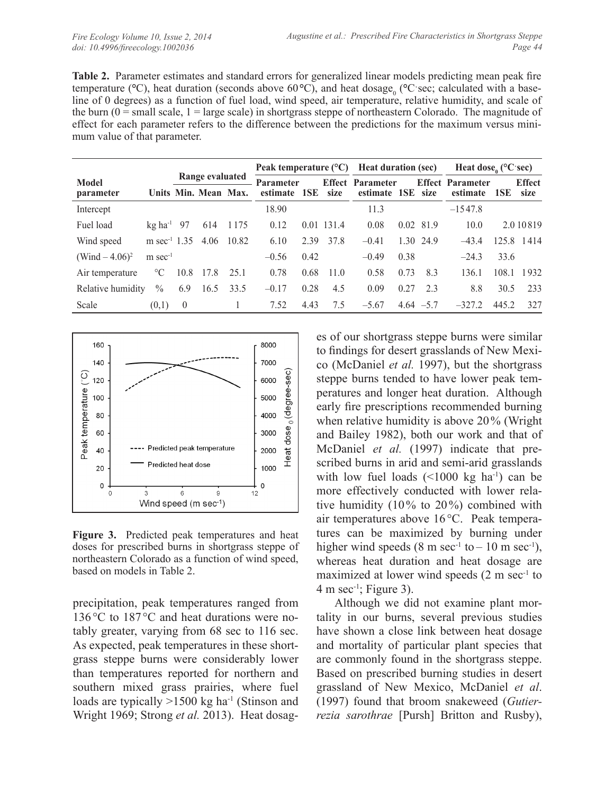**Table 2.** Parameter estimates and standard errors for generalized linear models predicting mean peak fire temperature (°C), heat duration (seconds above 60°C), and heat dosage<sub>0</sub> (°C sec; calculated with a baseline of 0 degrees) as a function of fuel load, wind speed, air temperature, relative humidity, and scale of the burn  $(0 = \text{small scale}, 1 = \text{large scale})$  in shortgrass steppe of northeastern Colorado. The magnitude of effect for each parameter refers to the difference between the predictions for the maximum versus minimum value of that parameter.

|                               |                                 |                      |      |                        | Peak temperature $(^{\circ}C)$   |      | <b>Heat duration (sec)</b> |                                              |      | Heat dose, $(^{\circ}C \cdot \text{sec})$ |                                     |       |                       |
|-------------------------------|---------------------------------|----------------------|------|------------------------|----------------------------------|------|----------------------------|----------------------------------------------|------|-------------------------------------------|-------------------------------------|-------|-----------------------|
| Model<br><i>parameter</i>     |                                 | Units Min. Mean Max. |      | <b>Range evaluated</b> | <b>Parameter</b><br>estimate 1SE |      | size                       | <b>Effect</b> Parameter<br>estimate 1SE size |      |                                           | <b>Effect Parameter</b><br>estimate | 1SE   | <b>Effect</b><br>size |
| Intercept                     |                                 |                      |      |                        | 18.90                            |      |                            | 11.3                                         |      |                                           | $-1547.8$                           |       |                       |
| Fuel load                     | $\text{kg}$ ha <sup>-1</sup> 97 |                      | 614  | 1175                   | 0.12                             |      | 0.01 131.4                 | 0.08                                         |      | 0.02 81.9                                 | 10.0                                |       | 2.0 10 8 19           |
| Wind speed                    | m sec <sup>-1</sup> 1.35        |                      | 4.06 | 10.82                  | 6.10                             | 2.39 | 37.8                       | $-0.41$                                      |      | 1.30 24.9                                 | $-43.4$                             |       | 125.8 1414            |
| (Wind $- 4.06$ ) <sup>2</sup> | $m$ sec <sup>-1</sup>           |                      |      |                        | $-0.56$                          | 0.42 |                            | $-0.49$                                      | 0.38 |                                           | $-24.3$                             | 33.6  |                       |
| Air temperature               | $\rm ^{\circ}C$                 | 10.8                 | 17.8 | 25.1                   | 0.78                             | 0.68 | 11.0                       | 0.58                                         | 0.73 | 8.3                                       | 136.1                               | 108.1 | 1932                  |
| Relative humidity             | $\%$                            | 6.9                  | 16.5 | 33.5                   | $-0.17$                          | 0.28 | 4.5                        | 0.09                                         | 0.27 | 2.3                                       | 8.8                                 | 30.5  | 233                   |
| Scale                         | (0,1)                           | $\overline{0}$       |      | 1                      | 7.52                             | 4.43 | 7.5                        | $-5.67$                                      |      | $4.64 - 5.7$                              | $-327.2$                            | 445.2 | 327                   |



**Figure 3.** Predicted peak temperatures and heat doses for prescribed burns in shortgrass steppe of northeastern Colorado as a function of wind speed, based on models in Table 2.

precipitation, peak temperatures ranged from 136 °C to 187 °C and heat durations were notably greater, varying from 68 sec to 116 sec. As expected, peak temperatures in these shortgrass steppe burns were considerably lower than temperatures reported for northern and southern mixed grass prairies, where fuel loads are typically  $>1500$  kg ha<sup>-1</sup> (Stinson and Wright 1969; Strong *et al.* 2013). Heat dosag-

es of our shortgrass steppe burns were similar to findings for desert grasslands of New Mexico (McDaniel *et al.* 1997), but the shortgrass steppe burns tended to have lower peak temperatures and longer heat duration. Although early fire prescriptions recommended burning when relative humidity is above 20% (Wright and Bailey 1982), both our work and that of McDaniel *et al.* (1997) indicate that prescribed burns in arid and semi-arid grasslands with low fuel loads  $(\leq 1000 \text{ kg} \text{ ha}^{-1})$  can be more effectively conducted with lower relative humidity (10% to 20%) combined with air temperatures above 16°C. Peak temperatures can be maximized by burning under higher wind speeds  $(8 \text{ m sec}^{-1} \text{ to } -10 \text{ m sec}^{-1})$ , whereas heat duration and heat dosage are maximized at lower wind speeds (2 m sec<sup>-1</sup> to  $4 \text{ m sec}^{-1}$ ; Figure 3).

Although we did not examine plant mortality in our burns, several previous studies have shown a close link between heat dosage and mortality of particular plant species that are commonly found in the shortgrass steppe. Based on prescribed burning studies in desert grassland of New Mexico, McDaniel *et al*. (1997) found that broom snakeweed (*Gutierrezia sarothrae* [Pursh] Britton and Rusby),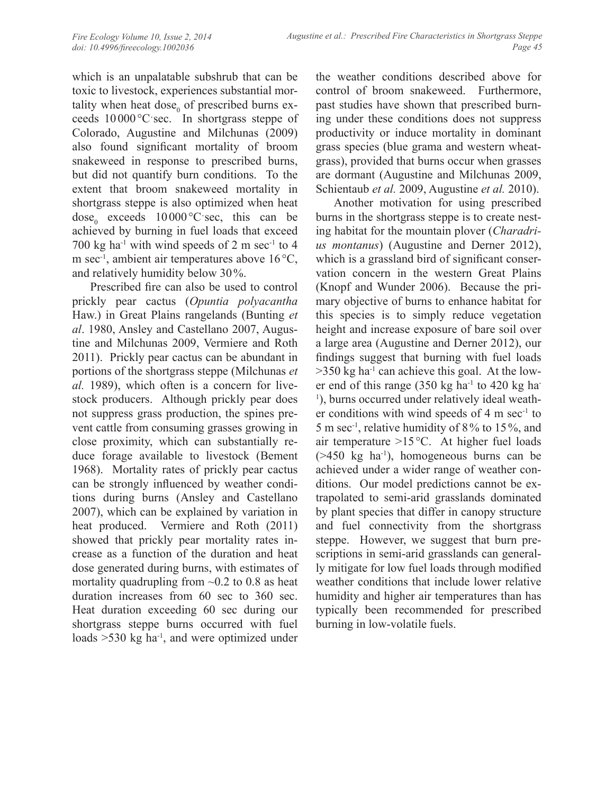which is an unpalatable subshrub that can be toxic to livestock, experiences substantial mortality when heat dose $_0$  of prescribed burns exceeds 10000°Cˑsec. In shortgrass steppe of Colorado, Augustine and Milchunas (2009) also found significant mortality of broom snakeweed in response to prescribed burns, but did not quantify burn conditions. To the extent that broom snakeweed mortality in shortgrass steppe is also optimized when heat  $dose_0$  exceeds  $10000^{\circ}$ C $\sec$ , this can be achieved by burning in fuel loads that exceed 700 kg ha<sup>-1</sup> with wind speeds of 2 m sec<sup>-1</sup> to 4 m sec<sup>-1</sup>, ambient air temperatures above 16 °C, and relatively humidity below 30%.

Prescribed fire can also be used to control prickly pear cactus (*Opuntia polyacantha*  Haw.) in Great Plains rangelands (Bunting *et al*. 1980, Ansley and Castellano 2007, Augustine and Milchunas 2009, Vermiere and Roth 2011). Prickly pear cactus can be abundant in portions of the shortgrass steppe (Milchunas *et al.* 1989), which often is a concern for livestock producers. Although prickly pear does not suppress grass production, the spines prevent cattle from consuming grasses growing in close proximity, which can substantially reduce forage available to livestock (Bement 1968). Mortality rates of prickly pear cactus can be strongly influenced by weather conditions during burns (Ansley and Castellano 2007), which can be explained by variation in heat produced. Vermiere and Roth (2011) showed that prickly pear mortality rates increase as a function of the duration and heat dose generated during burns, with estimates of mortality quadrupling from  $\sim 0.2$  to 0.8 as heat duration increases from 60 sec to 360 sec. Heat duration exceeding 60 sec during our shortgrass steppe burns occurred with fuel loads  $>530$  kg ha<sup>-1</sup>, and were optimized under

the weather conditions described above for control of broom snakeweed. Furthermore, past studies have shown that prescribed burning under these conditions does not suppress productivity or induce mortality in dominant grass species (blue grama and western wheatgrass), provided that burns occur when grasses are dormant (Augustine and Milchunas 2009, Schientaub *et al.* 2009, Augustine *et al.* 2010).

Another motivation for using prescribed burns in the shortgrass steppe is to create nesting habitat for the mountain plover (*Charadrius montanus*) (Augustine and Derner 2012), which is a grassland bird of significant conservation concern in the western Great Plains (Knopf and Wunder 2006). Because the primary objective of burns to enhance habitat for this species is to simply reduce vegetation height and increase exposure of bare soil over a large area (Augustine and Derner 2012), our findings suggest that burning with fuel loads  $>350$  kg ha<sup>-1</sup> can achieve this goal. At the lower end of this range  $(350 \text{ kg ha}^{-1}$  to  $420 \text{ kg ha}^{-1}$ <sup>1</sup>), burns occurred under relatively ideal weather conditions with wind speeds of 4 m sec-1 to 5 m sec-1, relative humidity of 8% to 15%, and air temperature >15°C. At higher fuel loads  $($ >450 kg ha<sup>-1</sup>), homogeneous burns can be achieved under a wider range of weather conditions. Our model predictions cannot be extrapolated to semi-arid grasslands dominated by plant species that differ in canopy structure and fuel connectivity from the shortgrass steppe. However, we suggest that burn prescriptions in semi-arid grasslands can generally mitigate for low fuel loads through modified weather conditions that include lower relative humidity and higher air temperatures than has typically been recommended for prescribed burning in low-volatile fuels.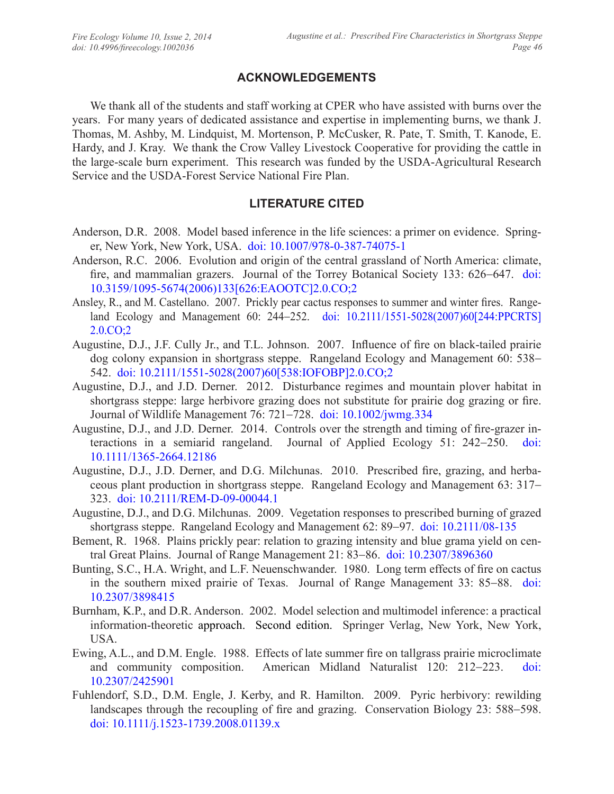## **ACKNOWLEDGEMENTS**

We thank all of the students and staff working at CPER who have assisted with burns over the years. For many years of dedicated assistance and expertise in implementing burns, we thank J. Thomas, M. Ashby, M. Lindquist, M. Mortenson, P. McCusker, R. Pate, T. Smith, T. Kanode, E. Hardy, and J. Kray. We thank the Crow Valley Livestock Cooperative for providing the cattle in the large-scale burn experiment. This research was funded by the USDA-Agricultural Research Service and the USDA-Forest Service National Fire Plan.

# **LITERATURE CITED**

- Anderson, D.R. 2008. Model based inference in the life sciences: a primer on evidence. Springer, New York, New York, USA. [doi: 10.1007/978-0-387-74075-1](http://dx.doi.org/10.1007/978-0-387-74075-1)
- Anderson, R.C. 2006. Evolution and origin of the central grassland of North America: climate, fire, and mammalian grazers. Journal of the Torrey Botanical Society 133: 626–647. [doi:](http://dx.doi.org/10.3159/1095-5674%282006%29133%5b626:EAOOTC%5d2.0.CO;2) [10.3159/1095-5674\(2006\)133\[626:EAOOTC\]2.0.CO;2](http://dx.doi.org/10.3159/1095-5674%282006%29133%5b626:EAOOTC%5d2.0.CO;2)
- Ansley, R., and M. Castellano. 2007. Prickly pear cactus responses to summer and winter fires. Rangeland Ecology and Management 60: 244-252. [doi: 10.2111/1551-5028\(2007\)60\[244:PPCRTS\]](http://dx.doi.org/10.2111/1551-5028%282007%2960%5b244:PPCRTS%5d2.0.CO;2) [2.0.CO;2](http://dx.doi.org/10.2111/1551-5028%282007%2960%5b244:PPCRTS%5d2.0.CO;2)
- Augustine, D.J., J.F. Cully Jr., and T.L. Johnson. 2007. Influence of fire on black-tailed prairie dog colony expansion in shortgrass steppe. Rangeland Ecology and Management 60: 538- 542. [doi: 10.2111/1551-5028\(2007\)60\[538:IOFOBP\]2.0.CO;2](http://dx.doi.org/10.2111/1551-5028%282007%2960%5b538:IOFOBP%5d2.0.CO;2)
- Augustine, D.J., and J.D. Derner. 2012. Disturbance regimes and mountain plover habitat in shortgrass steppe: large herbivore grazing does not substitute for prairie dog grazing or fire. Journal of Wildlife Management 76: 721-728. [doi: 10.1002/jwmg.334](http://dx.doi.org/10.1002/jwmg.334)
- Augustine, D.J., and J.D. Derner. 2014. Controls over the strength and timing of fire-grazer interactions in a semiarid rangeland. Journal of Applied Ecology 51: 242-250. [doi:](http://dx.doi.org/10.1111/1365-2664.12186) [10.1111/1365-2664.12186](http://dx.doi.org/10.1111/1365-2664.12186)
- Augustine, D.J., J.D. Derner, and D.G. Milchunas. 2010. Prescribed fire, grazing, and herbaceous plant production in shortgrass steppe. Rangeland Ecology and Management 63: 317- 323. [doi: 10.2111/REM-D-09-00044.1](http://dx.doi.org/10.2111/REM-D-09-00044.1)
- Augustine, D.J., and D.G. Milchunas. 2009. Vegetation responses to prescribed burning of grazed shortgrass steppe. Rangeland Ecology and Management 62: 89–97. [doi: 10.2111/08-135](http://dx.doi.org/10.2111/08-135)
- Bement, R. 1968. Plains prickly pear: relation to grazing intensity and blue grama yield on central Great Plains. Journal of Range Management 21: 83-86. [doi: 10.2307/3896360](http://dx.doi.org/10.2307/3896360)
- Bunting, S.C., H.A. Wright, and L.F. Neuenschwander. 1980. Long term effects of fire on cactus in the southern mixed prairie of Texas. Journal of Range Management 33: 85-88. [doi:](http://dx.doi.org/10.2307/3898415) [10.2307/3898415](http://dx.doi.org/10.2307/3898415)
- Burnham, K.P., and D.R. Anderson. 2002. Model selection and multimodel inference: a practical information-theoretic approach. Second edition. Springer Verlag, New York, New York, USA.
- Ewing, A.L., and D.M. Engle. 1988. Effects of late summer fire on tallgrass prairie microclimate and community composition. American Midland Naturalist 120: 212-223. [doi:](http://dx.doi.org/10.2307/2425901) [10.2307/2425901](http://dx.doi.org/10.2307/2425901)
- Fuhlendorf, S.D., D.M. Engle, J. Kerby, and R. Hamilton. 2009. Pyric herbivory: rewilding landscapes through the recoupling of fire and grazing. Conservation Biology 23: 588-598. [doi: 10.1111/j.1523-1739.2008.01139.x](http://dx.doi.org/10.1111/j.1523-1739.2008.01139.x)